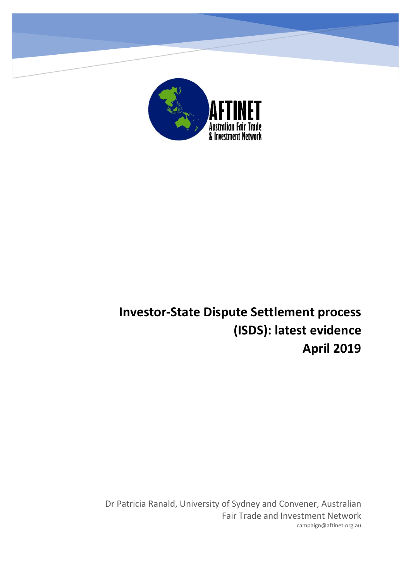

# **Investor-State Dispute Settlement process (ISDS): latest evidence April 2019**

Dr Patricia Ranald, University of Sydney and Convener, Australian Fair Trade and Investment Network campaign@aftinet.org.au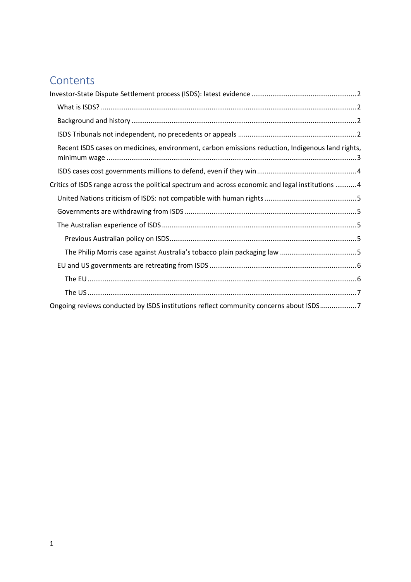## **Contents**

| Recent ISDS cases on medicines, environment, carbon emissions reduction, Indigenous land rights,  |  |
|---------------------------------------------------------------------------------------------------|--|
|                                                                                                   |  |
| Critics of ISDS range across the political spectrum and across economic and legal institutions  4 |  |
|                                                                                                   |  |
|                                                                                                   |  |
|                                                                                                   |  |
|                                                                                                   |  |
|                                                                                                   |  |
|                                                                                                   |  |
|                                                                                                   |  |
|                                                                                                   |  |
| Ongoing reviews conducted by ISDS institutions reflect community concerns about ISDS7             |  |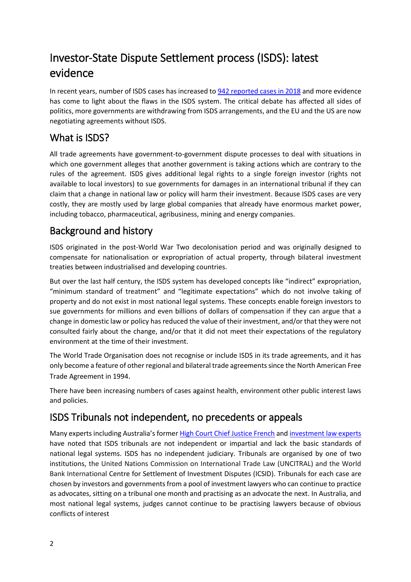## <span id="page-2-0"></span>Investor-State Dispute Settlement process (ISDS): latest evidence

In recent years, number of ISDS cases has increased t[o 942 reported](https://investmentpolicyhub.unctad.org/ISDS) cases in 2018 and more evidence has come to light about the flaws in the ISDS system. The critical debate has affected all sides of politics, more governments are withdrawing from ISDS arrangements, and the EU and the US are now negotiating agreements without ISDS.

### <span id="page-2-1"></span>What is ISDS?

All trade agreements have government-to-government dispute processes to deal with situations in which one government alleges that another government is taking actions which are contrary to the rules of the agreement. ISDS gives additional legal rights to a single foreign investor (rights not available to local investors) to sue governments for damages in an international tribunal if they can claim that a change in national law or policy will harm their investment. Because ISDS cases are very costly, they are mostly used by large global companies that already have enormous market power, including tobacco, pharmaceutical, agribusiness, mining and energy companies.

### <span id="page-2-2"></span>Background and history

ISDS originated in the post-World War Two decolonisation period and was originally designed to compensate for nationalisation or expropriation of actual property, through bilateral investment treaties between industrialised and developing countries.

But over the last half century, the ISDS system has developed concepts like "indirect" expropriation, "minimum standard of treatment" and "legitimate expectations" which do not involve taking of property and do not exist in most national legal systems. These concepts enable foreign investors to sue governments for millions and even billions of dollars of compensation if they can argue that a change in domestic law or policy has reduced the value of their investment, and/or that they were not consulted fairly about the change, and/or that it did not meet their expectations of the regulatory environment at the time of their investment.

The World Trade Organisation does not recognise or include ISDS in its trade agreements, and it has only become a feature of other regional and bilateral trade agreements since the North American Free Trade Agreement in 1994.

There have been increasing numbers of cases against health, environment other public interest laws and policies.

### <span id="page-2-3"></span>ISDS Tribunals not independent, no precedents or appeals

Many experts including Australia's former [High Court Chief Justice French](http://www.hcourt.gov.au/assets/publications/speeches/current-justices/frenchcj/frenchcj09jul14.pdf) an[d investment law experts](http://www.curtis.com/siteFiles/Publications/8TH%20Annual%20Juris%20Investment%20Treaty%20Arbitration%20Conf.%20-%20March%2028%202014.pdf) have noted that ISDS tribunals are not independent or impartial and lack the basic standards of national legal systems. ISDS has no independent judiciary. Tribunals are organised by one of two institutions, the United Nations Commission on International Trade Law (UNCITRAL) and the World Bank International Centre for Settlement of Investment Disputes (ICSID). Tribunals for each case are chosen by investors and governments from a pool of investment lawyers who can continue to practice as advocates, sitting on a tribunal one month and practising as an advocate the next. In Australia, and most national legal systems, judges cannot continue to be practising lawyers because of obvious conflicts of interest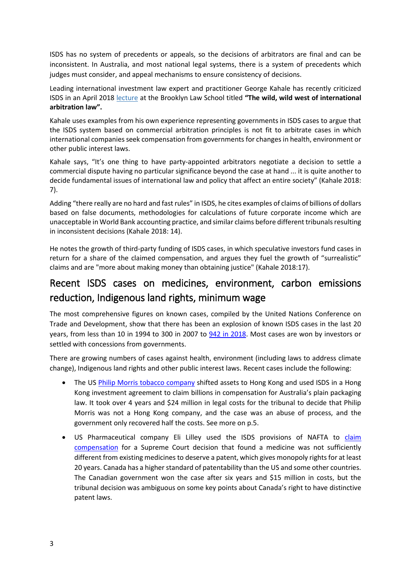ISDS has no system of precedents or appeals, so the decisions of arbitrators are final and can be inconsistent. In Australia, and most national legal systems, there is a system of precedents which judges must consider, and appeal mechanisms to ensure consistency of decisions.

Leading international investment law expert and practitioner George Kahale has recently criticized ISDS in an April 2018 [lecture](https://www.bilaterals.org/IMG/pdf/isds-the_wild,_wild_west_of_international_law_and_arbitration.pdf) at the Brooklyn Law School titled **"The wild, wild west of international arbitration law".**

Kahale uses examples from his own experience representing governments in ISDS cases to argue that the ISDS system based on commercial arbitration principles is not fit to arbitrate cases in which international companies seek compensation from governments for changes in health, environment or other public interest laws.

Kahale says, "It's one thing to have party-appointed arbitrators negotiate a decision to settle a commercial dispute having no particular significance beyond the case at hand ... it is quite another to decide fundamental issues of international law and policy that affect an entire society" (Kahale 2018: 7).

Adding "there really are no hard and fast rules" in ISDS, he cites examples of claims of billions of dollars based on false documents, methodologies for calculations of future corporate income which are unacceptable in World Bank accounting practice, and similar claims before different tribunals resulting in inconsistent decisions (Kahale 2018: 14).

He notes the growth of third-party funding of ISDS cases, in which speculative investors fund cases in return for a share of the claimed compensation, and argues they fuel the growth of "surrealistic" claims and are "more about making money than obtaining justice" (Kahale 2018:17).

### <span id="page-3-0"></span>Recent ISDS cases on medicines, environment, carbon emissions reduction, Indigenous land rights, minimum wage

The most comprehensive figures on known cases, compiled by the United Nations Conference on Trade and Development, show that there has been an explosion of known ISDS cases in the last 20 years, from less than 10 in 1994 to 300 in 2007 to  $\frac{942}{10}$  2018. Most cases are won by investors or settled with concessions from governments.

There are growing numbers of cases against health, environment (including laws to address climate change), Indigenous land rights and other public interest laws. Recent cases include the following:

- The US [Philip Morris tobacco company](https://theconversation.com/when-even-winning-is-losing-the-surprising-cost-of-defeating-philip-morris-over-plain-packaging-114279) shifted assets to Hong Kong and used ISDS in a Hong Kong investment agreement to claim billions in compensation for Australia's plain packaging law. It took over 4 years and \$24 million in legal costs for the tribunal to decide that Philip Morris was not a Hong Kong company, and the case was an abuse of process, and the government only recovered half the costs. See more on p.5.
- US Pharmaceutical company Eli Lilley used the ISDS provisions of NAFTA to claim [compensation](https://papers.ssrn.com/sol3/papers.cfm?abstract_id=3012538) for a Supreme Court decision that found a medicine was not sufficiently different from existing medicines to deserve a patent, which gives monopoly rights for at least 20 years. Canada has a higher standard of patentability than the US and some other countries. The Canadian government won the case after six years and \$15 million in costs, but the tribunal decision was ambiguous on some key points about Canada's right to have distinctive patent laws.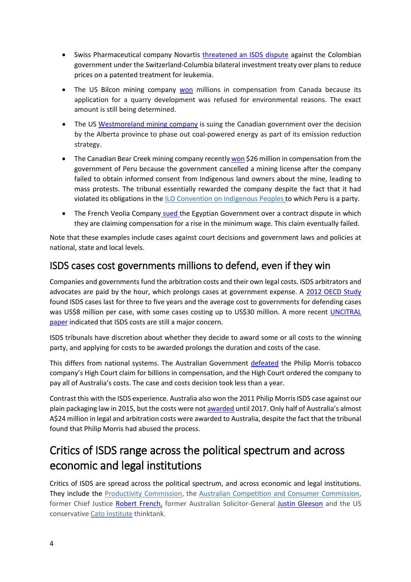- Swiss Pharmaceutical company Novartis [threatened an ISDS dispute](http://isds.bilaterals.org/?investigation-as-colombia-pushes) against the Colombian government under the Switzerland-Columbia bilateral investment treaty over plans to reduce prices on a patented treatment for leukemia.
- The US Bilcon mining company [won](http://www.international.gc.ca/trade-agreements-accords-commerciaux/topics-domaines/disp-diff/clayton.aspx?lang=eng.) millions in compensation from Canada because its application for a quarry development was refused for environmental reasons. The exact amount is still being determined.
- The US [Westmoreland mining company](https://theconversation.com/the-fossil-fuel-era-is-coming-to-an-end-but-the-lawsuits-are-just-beginning-107512) is suing the Canadian government over the decision by the Alberta province to phase out coal-powered energy as part of its emission reduction strategy.
- The Canadian Bear Creek mining company recentl[y won](http://icsidfiles.worldbank.org/icsid/ICSIDBLOBS/OnlineAwards/C3745/DS10808_En.pdf.) \$26 million in compensation from the government of Peru because the government cancelled a mining license after the company failed to obtain informed consent from Indigenous land owners about the mine, leading to mass protests. The tribunal essentially rewarded the company despite the fact that it had violated its obligations in the ILO [Convention](http://www.ilo.org/dyn/normlex/en/f?p=NORMLEXPUB:12100:0::NO::P12100_ILO_CODE:C169) on Indigenous Peoples to which Peru is a party.
- The French Veolia Company [sued t](http://www.bresserpereira.org.br/terceiros/2014/agosto/14.08.injustice-industry.pdf)he Egyptian Government over a contract dispute in which they are claiming compensation for a rise in the minimum wage. This claim eventually failed.

Note that these examples include cases against court decisions and government laws and policies at national, state and local levels.

#### <span id="page-4-0"></span>ISDS cases cost governments millions to defend, even if they win

Companies and governments fund the arbitration costs and their own legal costs. ISDS arbitrators and advocates are paid by the hour, which prolongs cases at government expense. A [2012 OECD Study](http://www.oecd.org/daf/inv/investment-policy/WP-2012_3.pdf) found ISDS cases last for three to five years and the average cost to governments for defending cases was US\$8 million per case, with some cases costing up to US\$30 million. A more recent [UNCITRAL](https://undocs.org/A/CN.9/WG.III/WP.142)  [paper](https://undocs.org/A/CN.9/WG.III/WP.142) indicated that ISDS costs are still a major concern.

ISDS tribunals have discretion about whether they decide to award some or all costs to the winning party, and applying for costs to be awarded prolongs the duration and costs of the case.

This differs from national systems. The Australian Government [defeated](http://www.hcourt.gov.au/assets/publications/judgment-summaries/2012/hca43-2012-10-05.pdf) the Philip Morris tobacco company's High Court claim for billions in compensation, and the High Court ordered the company to pay all of Australia's costs. The case and costs decision took less than a year.

Contrast this with the ISDS experience. Australia also won the 2011 Philip Morris ISDS case against our plain packaging law in 2015, but the costs were not [awarded](http://aftinet.org.au/cms/sites/default/files/190322%20Unredacted%2BExcerpt%2Bof%2BCosts%2BAward.pdf#overlay-context=users/editor) until 2017. Only half of Australia's almost A\$24 million in legal and arbitration costs were awarded to Australia, despite the fact that the tribunal found that Philip Morris had abused the process.

## <span id="page-4-1"></span>Critics of ISDS range across the political spectrum and across economic and legal institutions

Critics of ISDS are spread across the political spectrum, and across economic and legal institutions. They include the [Productivity Commission,](https://www.abc.net.au/radionational/programs/breakfast/productivity-commission-questions-govts-inclusion-of/6574466) the [Australian Competition and Consumer Commission,](https://www.smh.com.au/politics/federal/accc-airs-concerns-over-intellectual-property-provisions-in-transpacific-partnership-20151201-glcef0.html) former Chief Justice [Robert French,](http://www.hcourt.gov.au/assets/publications/speeches/current-justices/frenchcj/frenchcj09jul14.pdf) former Australian Solicitor-General [Justin Gleeson](https://www.iisd.org/library/usmca-investors) and the US conservative [Cato Institute](https://www.cato.org/publications/commentary/eight-reasons-purge-investor-state-dispute-settlement-trade-agreements) thinktank.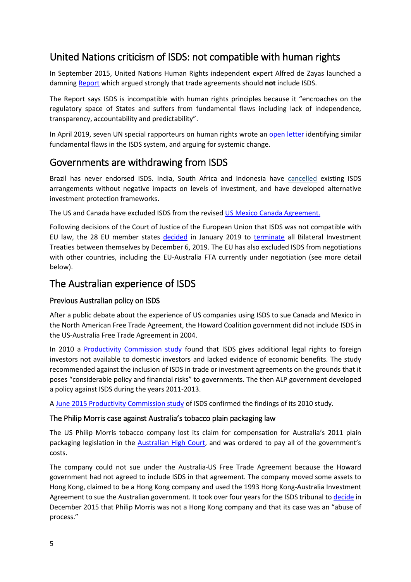#### <span id="page-5-0"></span>United Nations criticism of ISDS: not compatible with human rights

In September 2015, United Nations Human Rights independent expert Alfred de Zayas launched a damnin[g Report](https://www.ohchr.org/EN/NewsEvents/Pages/DisplayNews.aspx?NewsID=16439&LangID=E) which argued strongly that trade agreements should **not** include ISDS.

The Report says ISDS is incompatible with human rights principles because it "encroaches on the regulatory space of States and suffers from fundamental flaws including lack of independence, transparency, accountability and predictability".

In April 2019, seven UN special rapporteurs on human rights wrote an [open letter](https://www.ohchr.org/Documents/Issues/Development/IEDebt/OL_ARM_07.03.19_1.2019.pdf) identifying similar fundamental flaws in the ISDS system, and arguing for systemic change.

#### <span id="page-5-1"></span>Governments are withdrawing from ISDS

Brazil has never endorsed ISDS. India, South Africa and Indonesia have [cancelled](https://www.citizen.org/sites/default/files/pcgtw_fdi-inflows-from-bit-termination_0.pdf) existing ISDS arrangements without negative impacts on levels of investment, and have developed alternative investment protection frameworks.

The US and Canada have excluded ISDS from the revised [US Mexico Canada Agreement.](https://www.iisd.org/library/usmca-investors)

Following decisions of the Court of Justice of the European Union that ISDS was not compatible with EU law, the 28 EU member states [decided](https://fas.org/sgp/crs/row/IN11041.pdf) in January 2019 to [terminate](https://ec.europa.eu/info/sites/info/files/business_economy_euro/banking_and_finance/documents/190117-bilateral-investment-treaties_en.pdf) all Bilateral Investment Treaties between themselves by December 6, 2019. The EU has also excluded ISDS from negotiations with other countries, including the EU-Australia FTA currently under negotiation (see more detail below).

#### <span id="page-5-2"></span>The Australian experience of ISDS

#### <span id="page-5-3"></span>Previous Australian policy on ISDS

After a public debate about the experience of US companies using ISDS to sue Canada and Mexico in the North American Free Trade Agreement, the Howard Coalition government did not include ISDS in the US-Australia Free Trade Agreement in 2004.

In 2010 a [Productivity Commission study](https://www.pc.gov.au/inquiries/completed/trade-agreements/report.) found that ISDS gives additional legal rights to foreign investors not available to domestic investors and lacked evidence of economic benefits. The study recommended against the inclusion of ISDS in trade or investment agreements on the grounds that it poses "considerable policy and financial risks" to governments. The then ALP government developed a policy against ISDS during the years 2011-2013.

A [June 2015 Productivity Commission study](http://www.pc.gov.au/research/recurring/trade-assistance/2013-14.) of ISDS confirmed the findings of its 2010 study.

#### <span id="page-5-4"></span>The Philip Morris case against Australia's tobacco plain packaging law

The US Philip Morris tobacco company lost its claim for compensation for Australia's 2011 plain packaging legislation in the [Australian High Court](http://www.hcourt.gov.au/assets/publications/judgment-summaries/2012/hca43-2012-10-05.pdf), and was ordered to pay all of the government's costs.

The company could not sue under the Australia-US Free Trade Agreement because the Howard government had not agreed to include ISDS in that agreement. The company moved some assets to Hong Kong, claimed to be a Hong Kong company and used the 1993 Hong Kong-Australia Investment Agreement to sue the Australian government. It took over four years for the ISDS tribunal to [decide](https://www.italaw.com/sites/default/files/case-documents/italaw7303_0.pdf) in December 2015 that Philip Morris was not a Hong Kong company and that its case was an "abuse of process."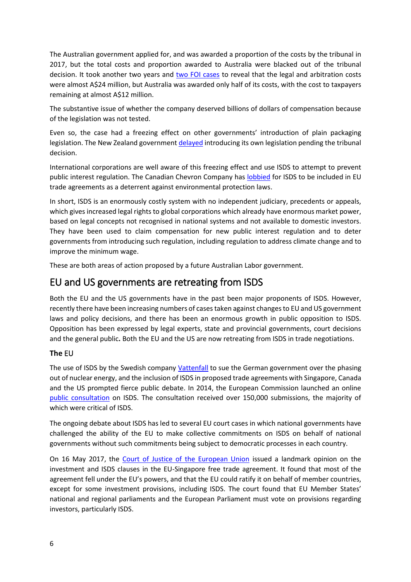The Australian government applied for, and was awarded a proportion of the costs by the tribunal in 2017, but the total costs and proportion awarded to Australia were blacked out of the tribunal decision. It took another two years and [two FOI cases](https://theconversation.com/when-even-winning-is-losing-the-surprising-cost-of-defeating-philip-morris-over-plain-packaging-114279) to reveal that the legal and arbitration costs were almost A\$24 million, but Australia was awarded only half of its costs, with the cost to taxpayers remaining at almost A\$12 million.

The substantive issue of whether the company deserved billions of dollars of compensation because of the legislation was not tested.

Even so, the case had a freezing effect on other governments' introduction of plain packaging legislation. The New Zealand government [delayed](https://www.nzherald.co.nz/business/news/article.cfm?c_id=3&objectid=11410127) introducing its own legislation pending the tribunal decision.

International corporations are well aware of this freezing effect and use ISDS to attempt to prevent public interest regulation. The Canadian Chevron Company has [lobbied](https://www.theguardian.com/environment/2016/apr/26/ttip-chevron-lobbied-for-controversial-legal-right-as-environmental-deterrent.) for ISDS to be included in EU trade agreements as a deterrent against environmental protection laws.

In short, ISDS is an enormously costly system with no independent judiciary, precedents or appeals, which gives increased legal rights to global corporations which already have enormous market power, based on legal concepts not recognised in national systems and not available to domestic investors. They have been used to claim compensation for new public interest regulation and to deter governments from introducing such regulation, including regulation to address climate change and to improve the minimum wage.

These are both areas of action proposed by a future Australian Labor government.

### <span id="page-6-0"></span>EU and US governments are retreating from ISDS

Both the EU and the US governments have in the past been major proponents of ISDS. However, recently there have been increasing numbers of cases taken against changes to EU and US government laws and policy decisions, and there has been an enormous growth in public opposition to ISDS. Opposition has been expressed by legal experts, state and provincial governments, court decisions and the general public**.** Both the EU and the US are now retreating from ISDS in trade negotiations.

#### <span id="page-6-1"></span>**The** EU

The use of ISDS by the Swedish company [Vattenfall](https://www.iisd.org/project/vattenfall-v-germany) to sue the German government over the phasing out of nuclear energy, and the inclusion of ISDS in proposed trade agreements with Singapore, Canada and the US prompted fierce public debate. In 2014, the European Commission launched an online [public consultation](http://europa.eu/rapid/press-release_MEMO-15-3202_en.htm) on ISDS. The consultation received over 150,000 submissions, the majority of which were critical of ISDS.

The ongoing debate about ISDS has led to several EU court cases in which national governments have challenged the ability of the EU to make collective commitments on ISDS on behalf of national governments without such commitments being subject to democratic processes in each country.

On 16 May 2017, the [Court of Justice of the European Union](http://www.mlex.com/Attachments/2017-05-16_2CW21X23B07N046Z/C0002_2015%20EN.pdf) issued a landmark opinion on the investment and ISDS clauses in the EU-Singapore free trade agreement. It found that most of the agreement fell under the EU's powers, and that the EU could ratify it on behalf of member countries, except for some investment provisions, including ISDS. The court found that EU Member States' national and regional parliaments and the European Parliament must vote on provisions regarding investors, particularly ISDS.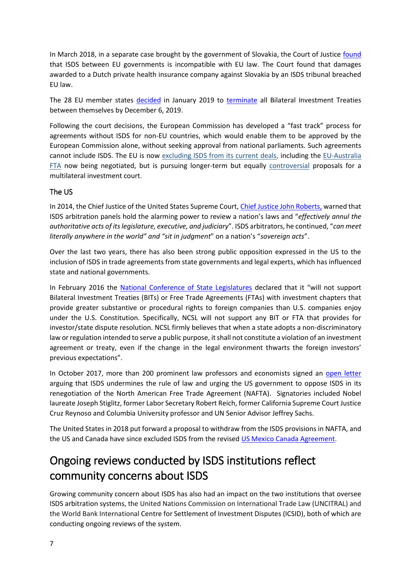In March 2018, in a separate case brought by the government of Slovakia, the Court of Justice [found](https://curia.europa.eu/jcms/upload/docs/application/pdf/2018-03/cp180026en.pdf) that ISDS between EU governments is incompatible with EU law. The Court found that damages awarded to a Dutch private health insurance company against Slovakia by an ISDS tribunal breached EU law.

The 28 EU member states [decided](https://fas.org/sgp/crs/row/IN11041.pdf) in January 2019 to [terminate](https://ec.europa.eu/info/sites/info/files/business_economy_euro/banking_and_finance/documents/190117-bilateral-investment-treaties_en.pdf) all Bilateral Investment Treaties between themselves by December 6, 2019.

Following the court decisions, the European Commission has developed a "fast track" process for agreements without ISDS for non-EU countries, which would enable them to be approved by the European Commission alone, without seeking approval from national parliaments. Such agreements cannot include ISDS. The EU is now [excluding ISDS from its current deals,](https://www.politico.eu/article/juncker-proposes-fast-tracking-eu-trade-deals/) including the [EU-Australia](https://www.pm.gov.au/media/press-conference-minister-trade-tourism-and-investment-and-eu-trade-commissioner)  [FTA](https://www.pm.gov.au/media/press-conference-minister-trade-tourism-and-investment-and-eu-trade-commissioner) now being negotiated, but is pursuing longer-term but equally [controversial](https://drive.google.com/file/d/1s-bTcSJBRw1ShnQKGaxR8TSJ2TPd1Mrs/view) proposals for a multilateral investment court.

#### <span id="page-7-0"></span>The US

In 2014, the Chief Justice of the United States Supreme Court, [Chief Justice John Roberts,](https://www.supremecourt.gov/opinions/13pdf/12-138_97be.pdf) warned that ISDS arbitration panels hold the alarming power to review a nation's laws and "*effectively annul the authoritative acts of its legislature, executive, and judiciary*". ISDS arbitrators, he continued, "*can meet literally anywhere in the world" and "sit in judgment*" on a nation's "*sovereign acts*".

Over the last two years, there has also been strong public opposition expressed in the US to the inclusion of ISDS in trade agreements from state governments and legal experts, which has influenced state and national governments.

In February 2016 the [National Conference of State Legislatures](http://www.ncsl.org/ncsl-in-dc/task-forces/policies-labor-and-economic-development.aspx) declared that it "will not support Bilateral Investment Treaties (BITs) or Free Trade Agreements (FTAs) with investment chapters that provide greater substantive or procedural rights to foreign companies than U.S. companies enjoy under the U.S. Constitution. Specifically, NCSL will not support any BIT or FTA that provides for investor/state dispute resolution. NCSL firmly believes that when a state adopts a non-discriminatory law or regulation intended to serve a public purpose, it shall not constitute a violation of an investment agreement or treaty, even if the change in the legal environment thwarts the foreign investors' previous expectations".

In October 2017, more than 200 prominent law professors and economists signed an [open letter](http://www.citizen.org/documents/peru-tpp-investment-memo.pdf.) arguing that ISDS undermines the rule of law and urging the US government to oppose ISDS in its renegotiation of the North American Free Trade Agreement (NAFTA). Signatories included Nobel laureate Joseph Stiglitz, former Labor Secretary Robert Reich, former California Supreme Court Justice Cruz Reynoso and Columbia University professor and UN Senior Advisor Jeffrey Sachs.

The United States in 2018 put forward a proposal to withdraw from the ISDS provisions in NAFTA, and the US and Canada have since excluded ISDS from the revised [US Mexico Canada](https://www.iisd.org/library/usmca-investors) Agreement.

## <span id="page-7-1"></span>Ongoing reviews conducted by ISDS institutions reflect community concerns about ISDS

Growing community concern about ISDS has also had an impact on the two institutions that oversee ISDS arbitration systems, the United Nations Commission on International Trade Law (UNCITRAL) and the World Bank International Centre for Settlement of Investment Disputes (ICSID), both of which are conducting ongoing reviews of the system.